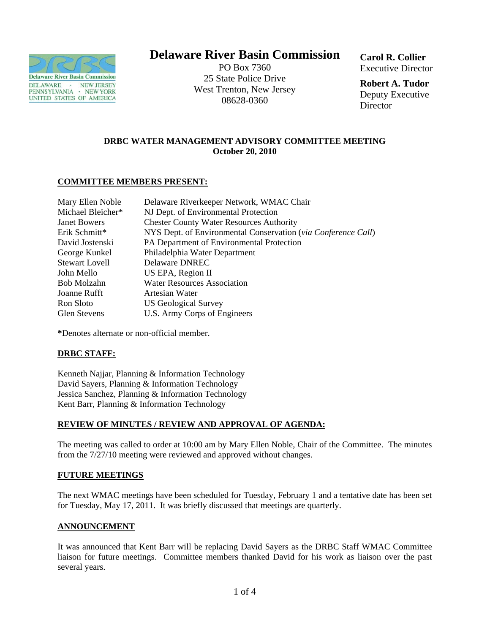

# **Delaware River Basin Commission**

PO Box 7360 25 State Police Drive West Trenton, New Jersey 08628-0360

**Carol R. Collier** Executive Director

**Robert A. Tudor**  Deputy Executive **Director** 

# **DRBC WATER MANAGEMENT ADVISORY COMMITTEE MEETING October 20, 2010**

#### **COMMITTEE MEMBERS PRESENT:**

| Mary Ellen Noble      | Delaware Riverkeeper Network, WMAC Chair                      |
|-----------------------|---------------------------------------------------------------|
| Michael Bleicher*     | NJ Dept. of Environmental Protection                          |
| <b>Janet Bowers</b>   | <b>Chester County Water Resources Authority</b>               |
| Erik Schmitt*         | NYS Dept. of Environmental Conservation (via Conference Call) |
| David Jostenski       | PA Department of Environmental Protection                     |
| George Kunkel         | Philadelphia Water Department                                 |
| <b>Stewart Lovell</b> | Delaware DNREC                                                |
| John Mello            | US EPA, Region II                                             |
| Bob Molzahn           | <b>Water Resources Association</b>                            |
| Joanne Rufft          | Artesian Water                                                |
| Ron Sloto             | <b>US Geological Survey</b>                                   |
| <b>Glen Stevens</b>   | U.S. Army Corps of Engineers                                  |

**\***Denotes alternate or non-official member.

## **DRBC STAFF:**

Kenneth Najjar, Planning & Information Technology David Sayers, Planning & Information Technology Jessica Sanchez, Planning & Information Technology Kent Barr, Planning & Information Technology

## **REVIEW OF MINUTES / REVIEW AND APPROVAL OF AGENDA:**

The meeting was called to order at 10:00 am by Mary Ellen Noble, Chair of the Committee. The minutes from the 7/27/10 meeting were reviewed and approved without changes.

#### **FUTURE MEETINGS**

The next WMAC meetings have been scheduled for Tuesday, February 1 and a tentative date has been set for Tuesday, May 17, 2011. It was briefly discussed that meetings are quarterly.

#### **ANNOUNCEMENT**

It was announced that Kent Barr will be replacing David Sayers as the DRBC Staff WMAC Committee liaison for future meetings. Committee members thanked David for his work as liaison over the past several years.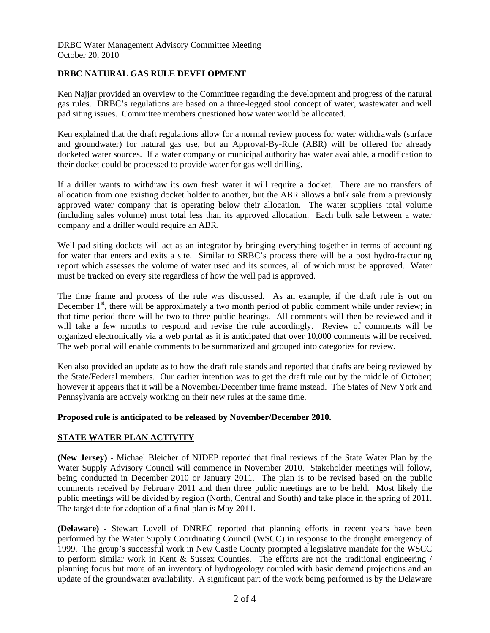#### **DRBC NATURAL GAS RULE DEVELOPMENT**

Ken Najjar provided an overview to the Committee regarding the development and progress of the natural gas rules. DRBC's regulations are based on a three-legged stool concept of water, wastewater and well pad siting issues. Committee members questioned how water would be allocated.

Ken explained that the draft regulations allow for a normal review process for water withdrawals (surface and groundwater) for natural gas use, but an Approval-By-Rule (ABR) will be offered for already docketed water sources. If a water company or municipal authority has water available, a modification to their docket could be processed to provide water for gas well drilling.

If a driller wants to withdraw its own fresh water it will require a docket. There are no transfers of allocation from one existing docket holder to another, but the ABR allows a bulk sale from a previously approved water company that is operating below their allocation. The water suppliers total volume (including sales volume) must total less than its approved allocation. Each bulk sale between a water company and a driller would require an ABR.

Well pad siting dockets will act as an integrator by bringing everything together in terms of accounting for water that enters and exits a site. Similar to SRBC's process there will be a post hydro-fracturing report which assesses the volume of water used and its sources, all of which must be approved. Water must be tracked on every site regardless of how the well pad is approved.

The time frame and process of the rule was discussed. As an example, if the draft rule is out on December  $1<sup>st</sup>$ , there will be approximately a two month period of public comment while under review; in that time period there will be two to three public hearings. All comments will then be reviewed and it will take a few months to respond and revise the rule accordingly. Review of comments will be organized electronically via a web portal as it is anticipated that over 10,000 comments will be received. The web portal will enable comments to be summarized and grouped into categories for review.

Ken also provided an update as to how the draft rule stands and reported that drafts are being reviewed by the State/Federal members. Our earlier intention was to get the draft rule out by the middle of October; however it appears that it will be a November/December time frame instead. The States of New York and Pennsylvania are actively working on their new rules at the same time.

#### **Proposed rule is anticipated to be released by November/December 2010.**

## **STATE WATER PLAN ACTIVITY**

**(New Jersey)** - Michael Bleicher of NJDEP reported that final reviews of the State Water Plan by the Water Supply Advisory Council will commence in November 2010. Stakeholder meetings will follow, being conducted in December 2010 or January 2011. The plan is to be revised based on the public comments received by February 2011 and then three public meetings are to be held. Most likely the public meetings will be divided by region (North, Central and South) and take place in the spring of 2011. The target date for adoption of a final plan is May 2011.

**(Delaware)** - Stewart Lovell of DNREC reported that planning efforts in recent years have been performed by the Water Supply Coordinating Council (WSCC) in response to the drought emergency of 1999. The group's successful work in New Castle County prompted a legislative mandate for the WSCC to perform similar work in Kent & Sussex Counties. The efforts are not the traditional engineering / planning focus but more of an inventory of hydrogeology coupled with basic demand projections and an update of the groundwater availability. A significant part of the work being performed is by the Delaware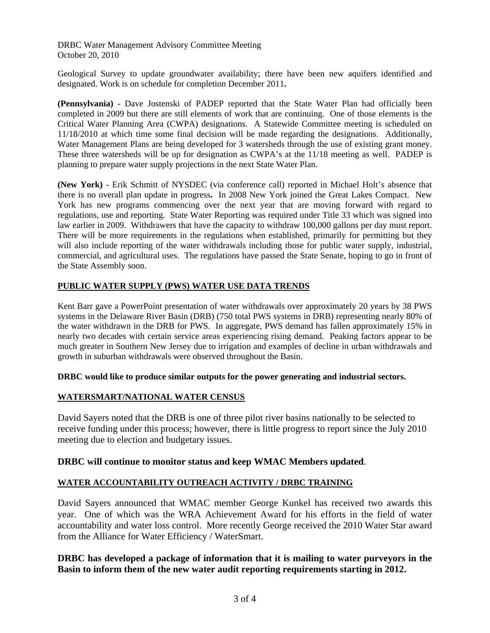DRBC Water Management Advisory Committee Meeting October 20, 2010

Geological Survey to update groundwater availability; there have been new aquifers identified and designated. Work is on schedule for completion December 2011**.** 

**(Pennsylvania)** - Dave Jostenski of PADEP reported that the State Water Plan had officially been completed in 2009 but there are still elements of work that are continuing. One of those elements is the Critical Water Planning Area (CWPA) designations. A Statewide Committee meeting is scheduled on 11/18/2010 at which time some final decision will be made regarding the designations. Additionally, Water Management Plans are being developed for 3 watersheds through the use of existing grant money. These three watersheds will be up for designation as CWPA's at the 11/18 meeting as well. PADEP is planning to prepare water supply projections in the next State Water Plan.

**(New York)** - Erik Schmitt of NYSDEC (via conference call) reported in Michael Holt's absence that there is no overall plan update in progress**.** In 2008 New York joined the Great Lakes Compact. New York has new programs commencing over the next year that are moving forward with regard to regulations, use and reporting. State Water Reporting was required under Title 33 which was signed into law earlier in 2009. Withdrawers that have the capacity to withdraw 100,000 gallons per day must report. There will be more requirements in the regulations when established, primarily for permitting but they will also include reporting of the water withdrawals including those for public water supply, industrial, commercial, and agricultural uses. The regulations have passed the State Senate, hoping to go in front of the State Assembly soon.

# **PUBLIC WATER SUPPLY (PWS) WATER USE DATA TRENDS**

Kent Barr gave a PowerPoint presentation of water withdrawals over approximately 20 years by 38 PWS systems in the Delaware River Basin (DRB) (750 total PWS systems in DRB) representing nearly 80% of the water withdrawn in the DRB for PWS. In aggregate, PWS demand has fallen approximately 15% in nearly two decades with certain service areas experiencing rising demand. Peaking factors appear to be much greater in Southern New Jersey due to irrigation and examples of decline in urban withdrawals and growth in suburban withdrawals were observed throughout the Basin.

**DRBC would like to produce similar outputs for the power generating and industrial sectors.** 

#### **WATERSMART/NATIONAL WATER CENSUS**

David Sayers noted that the DRB is one of three pilot river basins nationally to be selected to receive funding under this process; however, there is little progress to report since the July 2010 meeting due to election and budgetary issues.

## **DRBC will continue to monitor status and keep WMAC Members updated**.

## **WATER ACCOUNTABILITY OUTREACH ACTIVITY / DRBC TRAINING**

David Sayers announced that WMAC member George Kunkel has received two awards this year. One of which was the WRA Achievement Award for his efforts in the field of water accountability and water loss control. More recently George received the 2010 Water Star award from the Alliance for Water Efficiency / WaterSmart.

## **DRBC has developed a package of information that it is mailing to water purveyors in the Basin to inform them of the new water audit reporting requirements starting in 2012.**